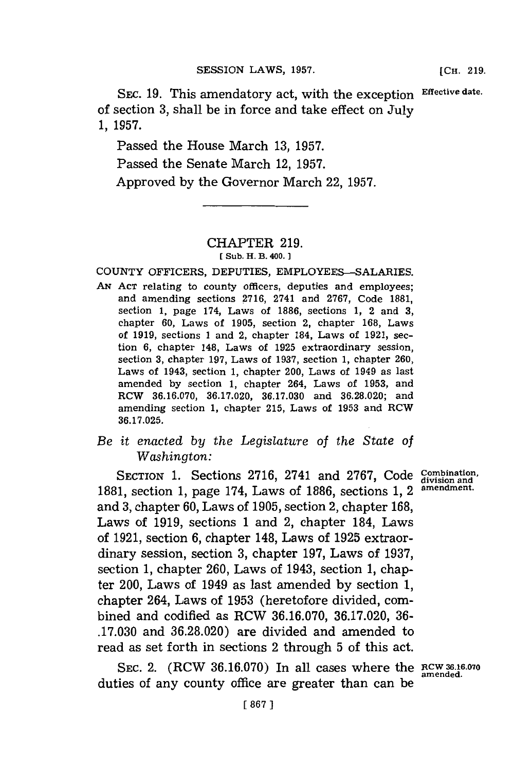**SEC. 19.** This amendatory act, with the exception **Effective date.** of section **3,** shall be in force and take effect on July **1, 1957.**

Passed the House March **13, 1957.** Passed the Senate March 12, **1957.** Approved **by** the Governor March 22, **1957.**

## CHAPTER **219. [ Sub. H. B. 400.**

**COUNTY** OFFICERS, DEPUTIES, EMPLOYEES-SALARIES.

AN Act relating to county officers, deputies and employees; and amending sections **2716,** 2741 and **2767,** Code **1881,** section **1,** page 174, Laws of **1886,** sections **1,** 2 and **3,** chapter **60,** Laws of **1905,** section 2, chapter **168,** Laws of **1919,** sections 1 and 2, chapter 184, Laws of **1921,** section **6,** chapter 148, Laws of **1925** extraordinary session, section **3,** chapter **197,** Laws of **1937,** section **1,** chapter **260,** Laws of 1943, section **1,** chapter 200, Laws of 1949 as last amended **by** section **1,** chapter 264, Laws of **1953,** and RCW **36.16.070, 36.17.020, 36.17.030** and **36.28.020;** and amending section **1,** chapter **215,** Laws of **1953** and RCW **36.17.025.**

## *Be it enacted by the Legislature of the State of Washington:*

SECTION 1. Sections 2716, 2741 and 2767, Code *Combination*, **1881,** section **1,** page 174, Laws of **1886,** sections **1,** 2 **amendment.** and **3,** chapter **60,** Laws of **1905,** section 2, chapter **168,** Laws of **1919,** sections **1** and 2, chapter 184, Laws of **1921,** section **6,** chapter 148, Laws of **1925** extraordinary session, section **3,** chapter **197,** Laws of **1937,** section **1,** chapter **260,** Laws of 1943, section **1,** chapter 200, Laws of 1949 as last amended **by** section **1,** chapter 264, Laws of **1953** (heretofore divided, combined and codified as RCW **36.16.070, 36.17.020, 36- .17.030** and **36.28.020)** are divided and amended to read as set forth in sections 2 through **5** of this act.

**SEC.** 2. (RCW **36.16.070)** In all cases where the **RCW36.16.070** duties of any county office are greater than can be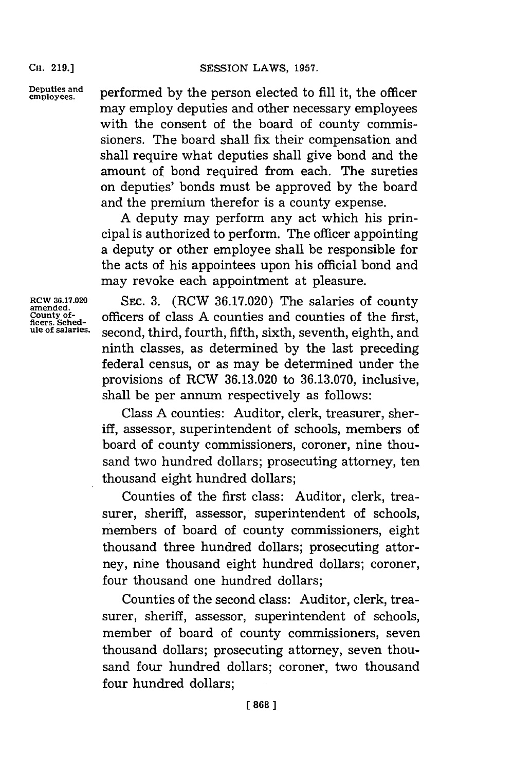**CH. 219.]**

**Deputies and employees,** performed **by** the person elected to **fill** it, the officer may employ deputies and other necessary employees with the consent of the board of county commissioners. The board shall fix their compensation and shall require what deputies shall give bond and the amount of bond required from each. The sureties on deputies' bonds must be approved **by** the board and the premium therefor is a county expense.

**A** deputy may perform any act which his principal is authorized to perform. The officer appointing a deputy or other employee shall be responsible for the acts of his appointees upon his official bond and may revoke each appointment at pleasure.

**RCW 36.17.020 SEC. 3.** (RCW 36.17.020) The salaries of county counts of the first, figures. Sched-<br> **RCW 36.17.020 Second amended**.<br> **RCW 36.17.020 D Sched-**<br> **RCCCC <b>EXECUTE and a** counties of the first, us officers of class A counties and counties of the first, second, third, fourth, fifth, sixth, seventh, eighth, and ninth classes, as determined **by** the last preceding federal census, or as may be determined under the provisions of RCW **36.13.020** to **36.13.070,** inclusive, shall be per annum respectively as follows:

> Class **A** counties: Auditor, clerk, treasurer, sheriff, assessor, superintendent of schools, members of board of county commissioners, coroner, nine thousand two hundred dollars; prosecuting attorney, ten thousand eight hundred dollars;

> Counties of the first class: Auditor, clerk, treasurer, sheriff, assessor, superintendent of schools, members of board of county commissioners, eight thousand three hundred dollars; prosecuting attorney, nine thousand eight hundred dollars; coroner, four thousand one hundred dollars;

> Counties of the second class: Auditor, clerk, treasurer, sheriff, assessor, superintendent of schools, member of board of county commissioners, seven thousand dollars; prosecuting attorney, seven thousand four hundred dollars; coroner, two thousand four hundred dollars;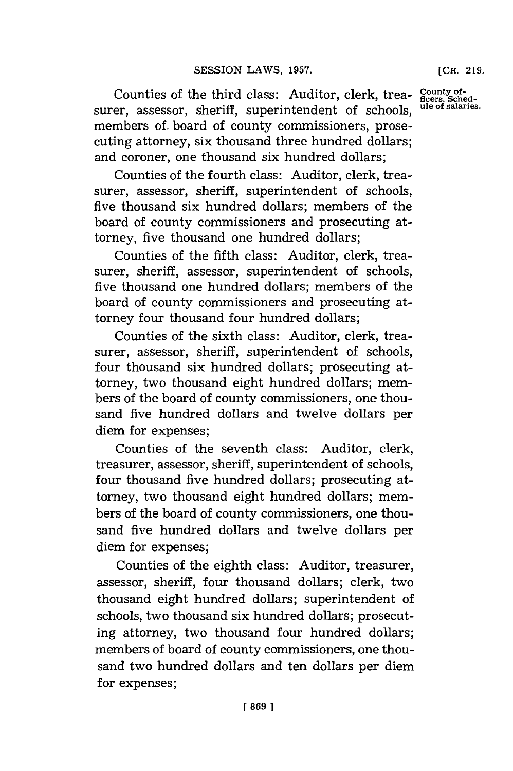Counties of the third class: Auditor, clerk, trea- County of-<br>
or assessor, shoriff, superintendent of schools <sup>ule of salaries.</sub></sup> surer, assessor, sheriff, superintendent of schools. members **of.** board of county commissioners, prosecuting attorney, six thousand three hundred dollars; and coroner, one thousand six hundred dollars;

Counties of the fourth class: Auditor, clerk, treasurer, assessor, sheriff, superintendent of schools, five thousand six hundred dollars; members of the board of county commissioners and prosecuting attorney, five thousand one hundred dollars;

Counties of the fifth class: Auditor, clerk, treasurer, sheriff, assessor, superintendent of schools, five thousand one hundred dollars; members of the board of county commissioners and prosecuting attorney four thousand four hundred dollars;

Counties of the sixth class: Auditor, clerk, treasurer, assessor, sheriff, superintendent of schools, four thousand six hundred dollars; prosecuting attorney, two thousand eight hundred dollars; members of the board of county commissioners, one thousand five hundred dollars and twelve dollars per diem for expenses;

Counties of the seventh class: Auditor, clerk, treasurer, assessor, sheriff, superintendent of schools, four thousand five hundred dollars; prosecuting attorney, two thousand eight hundred dollars; members of the board of county commissioners, one thousand five hundred dollars and twelve dollars per diem for expenses;

Counties of the eighth class: Auditor, treasurer, assessor, sheriff, four thousand dollars; clerk, two thousand eight hundred dollars; superintendent of schools, two thousand six hundred dollars; prosecuting attorney, two thousand four hundred dollars; members of board of county commissioners, one thousand two hundred dollars and ten dollars per diem for expenses;